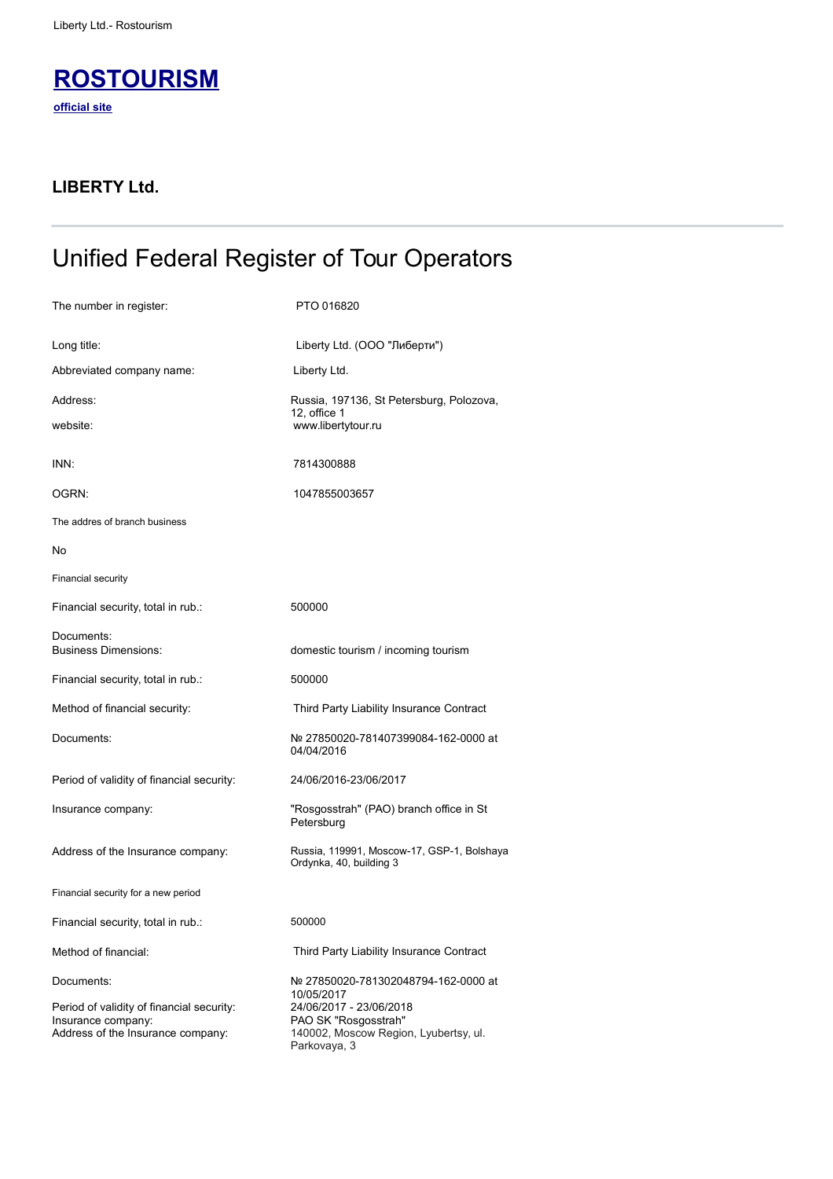

## **LIBERTY Ltd.**

## Unified Federal Register of Tour Operators

| The number in register:                                                                                            | PTO 016820                                                                                                                                                     |
|--------------------------------------------------------------------------------------------------------------------|----------------------------------------------------------------------------------------------------------------------------------------------------------------|
| Long title:                                                                                                        | Liberty Ltd. (ООО "Либерти")                                                                                                                                   |
| Abbreviated company name:                                                                                          | Liberty Ltd.                                                                                                                                                   |
| Address:                                                                                                           | Russia, 197136, St Petersburg, Polozova,<br>12, office 1                                                                                                       |
| website:                                                                                                           | www.libertytour.ru                                                                                                                                             |
| INN:                                                                                                               | 7814300888                                                                                                                                                     |
| OGRN:                                                                                                              | 1047855003657                                                                                                                                                  |
| The addres of branch business                                                                                      |                                                                                                                                                                |
| No                                                                                                                 |                                                                                                                                                                |
| <b>Financial security</b>                                                                                          |                                                                                                                                                                |
| Financial security, total in rub.:                                                                                 | 500000                                                                                                                                                         |
| Documents:<br><b>Business Dimensions:</b>                                                                          | domestic tourism / incoming tourism                                                                                                                            |
| Financial security, total in rub.:                                                                                 | 500000                                                                                                                                                         |
| Method of financial security:                                                                                      | Third Party Liability Insurance Contract                                                                                                                       |
| Documents:                                                                                                         | Nº 27850020-781407399084-162-0000 at<br>04/04/2016                                                                                                             |
| Period of validity of financial security:                                                                          | 24/06/2016-23/06/2017                                                                                                                                          |
| Insurance company:                                                                                                 | "Rosgosstrah" (PAO) branch office in St<br>Petersburg                                                                                                          |
| Address of the Insurance company:                                                                                  | Russia, 119991, Moscow-17, GSP-1, Bolshaya<br>Ordynka, 40, building 3                                                                                          |
| Financial security for a new period                                                                                |                                                                                                                                                                |
| Financial security, total in rub.:                                                                                 | 500000                                                                                                                                                         |
| Method of financial:                                                                                               | Third Party Liability Insurance Contract                                                                                                                       |
| Documents:<br>Period of validity of financial security:<br>Insurance company:<br>Address of the Insurance company: | Nº 27850020-781302048794-162-0000 at<br>10/05/2017<br>24/06/2017 - 23/06/2018<br>PAO SK "Rosgosstrah"<br>140002, Moscow Region, Lyubertsy, ul.<br>Parkovaya, 3 |